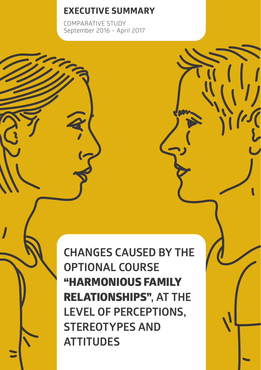# **EXECUTIVE SUMMARY**

COMPARATIVE STUDY September 2016 – April 2017

**CHANGES CAUSED BY THE OPTIONAL COURSE**  "HARMONIOUS FAMILY RELATIONSHIPS"**, AT THE LEVEL OF PERCEPTIONS, STEREOTYPES AND ATTITUDES**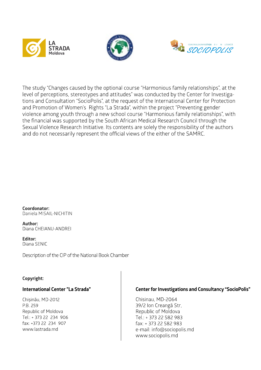





The study "Changes caused by the optional course "Harmonious family relationships", at the level of perceptions, stereotypes and attitudes" was conducted by the Center for Investigations and Consultation "SocioPolis", at the request of the International Center for Protection and Promotion of Women's Rights "La Strada", within the project "Preventing gender violence among youth through a new school course "Harmonious family relationships", with the financial was supported by the South African Medical Research Council through the Sexual Violence Research Initiative. Its contents are solely the responsibility of the authors and do not necessarily represent the official views of the either of the SAMRC.

Coordonator: Daniela MISAII - NICHITIN

Author: Diana CHEIANU-ANDREI

**Editor:** Diana SENIC

Description of the CIP of the National Book Chamber

#### Copyright:

#### International Center "La Strada"

Chisinău, MD-2012 P.B. 259 Republic of Moldova Tel.: + 373 22 234 906 fax: +373 22 234 907 www.lastrada.md

#### **Center for Investigations and Consultancy "SocioPolis"**

Chisinau, MD-2064 39/2 Ion Creangă Str. Republic of Moldova Tel.: + 373 22 582 983 fax: +373 22 582 983 e-mail: info@sociopolis.md www.sociopolis.md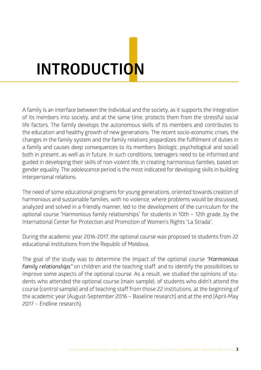# **INTRODUCTIONI**

A family is an interface between the individual and the society, as it supports the integration of its members into society, and at the same time, protects them from the stressful social life factors. The family develops the autonomous skills of its members and contributes to the education and healthy growth of new generations. The recent socio-economic crises, the changes in the family system and the family relations jeopardizes the fulfillment of duties in a family and causes deep consequences to its members (biologic, psychological and social) both in present, as well as in future. In such conditions, teenagers need to be informed and guided in developing their skills of non-violent life, in creating harmonious families, based on gender equality. The adolescence period is the most indicated for developing skills in building interpersonal relations.

The need of some educational programs for young generations, oriented towards creation of harmonious and sustainable families, with no violence, where problems would be discussed, analyzed and solved in a friendly manner, led to the development of the curriculum for the optional course "Harmonious family relationships" for students in 10th – 12th grade, by the International Center for Protection and Promotion of Women's Rights "La Strada".

During the academic year 2016-2017, the optional course was proposed to students from 22 educational institutions from the Republic of Moldova.

The goal of the study was to determine the impact of the optional course *"Harmonious family relationships"* on children and the teaching staff, and to identify the possibilities to improve some aspects of the optional course. As a result, we studied the opinions of students who attended the optional course (main sample), of students who didn't attend the course (control sample) and of teaching staff from those 22 institutions, at the beginning of the academic year (August-September 2016 – Baseline research) and at the end (April-May 2017 – Endline research).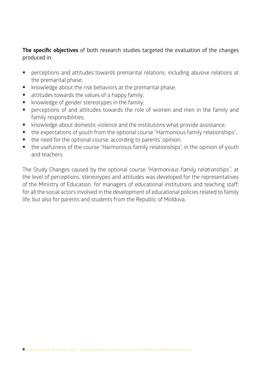# **The specific objectives** of both research studies targeted the evaluation of the changes produced in:

- perceptions and attitudes towards premarital relations, including abusive relations at the premarital phase;
- knowledge about the risk behaviors at the premarital phase;
- attitudes towards the values of a happy family;
- knowledge of gender stereotypes in the family;
- perceptions of and attitudes towards the role of women and men in the family and family responsibilities;
- knowledge about domestic violence and the institutions what provide assistance;
- the expectations of youth from the optional course "Harmonious family relationships";
- the need for the optional course, according to parents' opinion;
- the usefulness of the course "Harmonious family relationships", in the opinion of youth and teachers.

The Study Changes caused by the optional course *"Harmonious family relationships"*, at the level of perceptions, stereotypes and attitudes was developed for the representatives of the Ministry of Education, for managers of educational institutions and teaching staff, for all the social actors involved in the development of educational policies related to family life, but also for parents and students from the Republic of Moldova.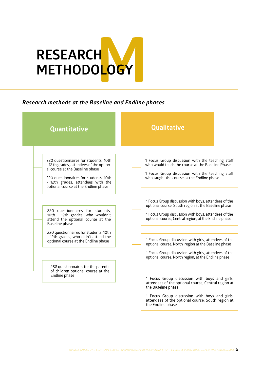

# *Research methods at the Baseline and Endline phases*

| <b>Quantitative</b>                                                                                                                                                                                                                        | <b>Qualitative</b>                                                                                                                                                                                                                                    |
|--------------------------------------------------------------------------------------------------------------------------------------------------------------------------------------------------------------------------------------------|-------------------------------------------------------------------------------------------------------------------------------------------------------------------------------------------------------------------------------------------------------|
| 220 questionnaires for students, 10th<br>- 12 th grades, attendees of the option-<br>al course at the Baseline phase<br>220 questionnaires for students, 10th<br>- 12th grades, attendees with the<br>optional course at the Endline phase | 1 Focus Group discussion with the teaching staff<br>who would teach the course at the Baseline Phase<br>1 Focus Group discussion with the teaching staff<br>who taught the course at the Endline phase                                                |
| 220 questionnaires for students,<br>10th - 12th grades, who wouldn't<br>attend the optional course at the<br>Baseline phase                                                                                                                | 1 Focus Group discussion with boys, attendees of the<br>optional course, South region at the Baseline phase<br>1 Focus Group discussion with boys, attendees of the<br>optional course, Central region, at the Endline phase                          |
| 220 questionnaires for students, 10th<br>- 12th grades, who didn't attend the<br>optional course at the Endline phase                                                                                                                      | 1 Focus Group discussion with girls, attendees of the<br>optional course, North region at the Baseline phase<br>1 Focus Group discussion with girls, attendees of the<br>optional course, North region, at the Endline phase                          |
| 288 questionnaires for the parents<br>of children optional course at the<br>Endline phase                                                                                                                                                  | 1 Focus Group discussion with boys and girls,<br>attendees of the optional course, Central region at<br>the Baseline phase<br>1 Focus Group discussion with boys and girls,<br>attendees of the optional course, South region at<br>the Endline phase |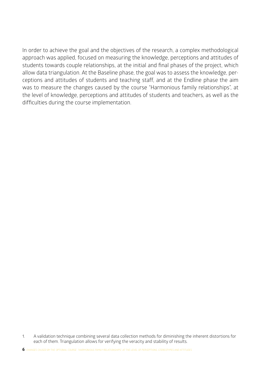In order to achieve the goal and the objectives of the research, a complex methodological approach was applied, focused on measuring the knowledge, perceptions and attitudes of students towards couple relationships, at the initial and final phases of the project, which allow data triangulation. At the Baseline phase, the goal was to assess the knowledge, perceptions and attitudes of students and teaching staff, and at the Endline phase the aim was to measure the changes caused by the course "Harmonious family relationships", at the level of knowledge, perceptions and attitudes of students and teachers, as well as the difficulties during the course implementation.

<sup>1.</sup> A validation technique combining several data collection methods for diminishing the inherent distortions for each of them. Triangulation allows for verifying the veracity and stability of results.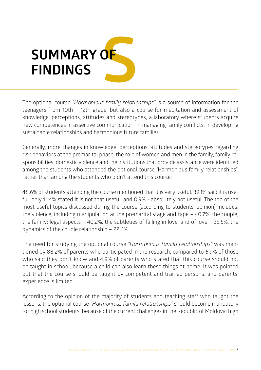# **S SUMMARY OF FINDINGS**

The optional course *"Harmonious family relationships"* is a source of information for the teenagers from 10th – 12th grade, but also a course for meditation and assessment of knowledge, perceptions, attitudes and stereotypes, a laboratory where students acquire new competences in assertive communication, in managing family conflicts, in developing sustainable relationships and harmonious future families.

Generally, more changes in knowledge, perceptions, attitudes and stereotypes regarding risk behaviors at the premarital phase, the role of women and men in the family, family responsibilities, domestic violence and the institutions that provide assistance were identified among the students who attended the optional course "Harmonious family relationships", rather than among the students who didn't attend this course.

48,6% of students attending the course mentioned that it is very useful, 39,1% said it is useful, only 11,4% stated it is not that useful, and 0,9% - absolutely not useful. The top of the most useful topics discussed during the course (according to students' opinion) includes: the violence, including manipulation at the premarital stage and rape – 40,7%, the couple, the family: legal aspects – 40,2%, the subtleties of falling in love, and of love – 35,5%, the dynamics of the couple relationship – 22,6%.

The need for studying the optional course *"Harmonious family relationships"* was mentioned by 88,2% of parents who participated in the research, compared to 6,9% of those who said they don't know and 4,9% of parents who stated that this course should not be taught in school, because a child can also learn these things at home. It was pointed out that the course should be taught by competent and trained persons, and parents' experience is limited.

According to the opinion of the majority of students and teaching staff who taught the lessons, the optional course *"Harmonious family relationships"* should become mandatory for high school students, because of the current challenges in the Republic of Moldova: high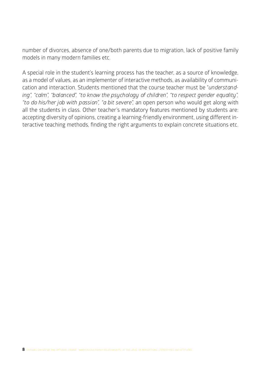number of divorces, absence of one/both parents due to migration, lack of positive family models in many modern families etc.

A special role in the student's learning process has the teacher, as a source of knowledge, as a model of values, as an implementer of interactive methods, as availability of communication and interaction. Students mentioned that the course teacher must be "*understanding", "calm", "balanced", "to know the psychology of children", "to respect gender equality", "to do his/her job with passion", "a bit severe",* an open person who would get along with all the students in class. Other teacher's mandatory features mentioned by students are: accepting diversity of opinions, creating a learning-friendly environment, using different interactive teaching methods, finding the right arguments to explain concrete situations etc.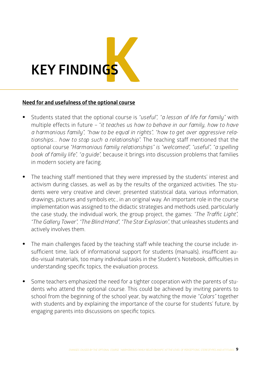

#### **Need for and usefulness of the optional course**

- Students stated that the optional course is *"useful", "a lesson of life for family"* with multiple effects in future – "*it teaches us how to behave in our family, how to have a harmonious family", "how to be equal in rights", "how to get over aggressive relationships... how to stop such a relationship".* The teaching staff mentioned that the optional course *"Harmonious family relationships" is "welcomed", "useful", "a spelling book of family life", "a guide",* because it brings into discussion problems that families in modern society are facing.
- The teaching staff mentioned that they were impressed by the students' interest and activism during classes, as well as by the results of the organized activities. The students were very creative and clever, presented statistical data, various information, drawings, pictures and symbols etc., in an original way. An important role in the course implementation was assigned to the didactic strategies and methods used, particularly the case study, the individual work, the group project, the games: *"The Traffic Light", "The Gallery Tower", "The Blind Hand", "The Star Explosion",* that unleashes students and actively involves them.
- The main challenges faced by the teaching staff while teaching the course include: insufficient time, lack of informational support for students (manuals), insufficient audio-visual materials, too many individual tasks in the Student's Notebook, difficulties in understanding specific topics, the evaluation process.
- Some teachers emphasized the need for a tighter cooperation with the parents of students who attend the optional course. This could be achieved by inviting parents to school from the beginning of the school year, by watching the movie *"Colors"* together with students and by explaining the importance of the course for students' future, by engaging parents into discussions on specific topics.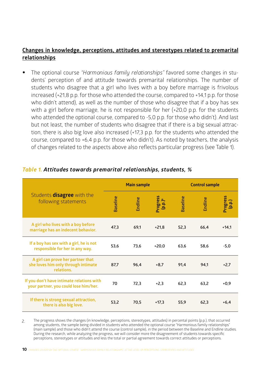# **Changes in knowledge, perceptions, attitudes and stereotypes related to premarital relationships**

• The optional course *"Harmonious family relationships"* favored some changes in students' perception of and attitude towards premarital relationships. The number of students who disagree that a girl who lives with a boy before marriage is frivolous increased (+21,8 p.p. for those who attended the course, compared to +14,1 p.p. for those who didn't attend), as well as the number of those who disagree that if a boy has sex with a girl before marriage, he is not responsible for her (+20,0 p.p. for the students who attended the optional course, compared to -5,0 p.p. for those who didn't). And last but not least, the number of students who disagree that if there is a big sexual attraction, there is also big love also increased (+17,3 p.p. for the students who attended the course, compared to  $+6.4$  p.p. for those who didn't). As noted by teachers, the analysis of changes related to the aspects above also reflects particular progress (see Table 1).

|                                                                                        | <b>Main sample</b> |         |                                 | <b>Control sample</b> |         |                   |
|----------------------------------------------------------------------------------------|--------------------|---------|---------------------------------|-----------------------|---------|-------------------|
| Students <b>disagree</b> with the<br>following statements                              | <b>Baseline</b>    | Endline | Progress<br>(p.p.) <sup>6</sup> | <b>Baseline</b>       | Endline | Progress<br>(a.q) |
| A girl who lives with a boy before<br>marriage has an indecent behavior.               | 47,3               | 69,1    | $+21.8$                         | 52,3                  | 66,4    | $+14,1$           |
| If a boy has sex with a girl, he is not<br>responsible for her in any way.             | 53,6               | 73,6    | $+20,0$                         | 63,6                  | 58,6    | $-5,0$            |
| A girl can prove her partner that<br>she loves him only through intimate<br>relations. | 87,7               | 96,4    | $+8.7$                          | 91,4                  | 94.1    | $+2.7$            |
| If you don't have intimate relations with<br>your partner, you could lose him/her.     | 70                 | 72,3    | $+2,3$                          | 62,3                  | 63,2    | $+0.9$            |
| If there is strong sexual attraction,<br>there is also big love.                       | 53,2               | 70,5    | $+17,3$                         | 55,9                  | 62,3    | $+6.4$            |

### *Table 1. Attitudes towards premarital relationships, students, %*

The progress shows the changes (in knowledge, perceptions, stereotypes, attitudes) in percental points (p.p.), that occurred among students, the sample being divided in students who attended the optional course "Harmonious family relationships" (main sample) and those who didn't attend the course (control sample), in the period between the Baseline and Endline studies. During the research, while analyzing the progress, we will consider more the disagreement of students towards specific perceptions, stereotypes or attitudes and less the total or partial agreement towards correct attitudes or perceptions. 2.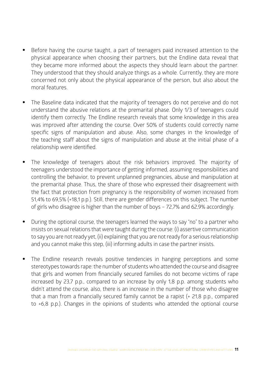- Before having the course taught, a part of teenagers paid increased attention to the physical appearance when choosing their partners, but the Endline data reveal that they became more informed about the aspects they should learn about the partner. They understood that they should analyze things as a whole. Currently, they are more concerned not only about the physical appearance of the person, but also about the moral features.
- The Baseline data indicated that the majority of teenagers do not perceive and do not understand the abusive relations at the premarital phase. Only 1/3 of teenagers could identify them correctly. The Endline research reveals that some knowledge in this area was improved after attending the course. Over 50% of students could correctly name specific signs of manipulation and abuse. Also, some changes in the knowledge of the teaching staff about the signs of manipulation and abuse at the initial phase of a relationship were identified.
- The knowledge of teenagers about the risk behaviors improved. The majority of teenagers understood the importance of getting informed, assuming responsibilities and controlling the behavior, to prevent unplanned pregnancies, abuse and manipulation at the premarital phase. Thus, the share of those who expressed their disagreement with the fact that protection from pregnancy is the responsibility of women increased from 51,4% to 69,5% (+18,1 p.p.). Still, there are gender differences on this subject. The number of girls who disagree is higher than the number of boys – 72,7% and 62,9% accordingly.
- During the optional course, the teenagers learned the ways to say "no" to a partner who insists on sexual relations that were taught during the course: (i) assertive communication to say you are not ready yet, (ii) explaining that you are not ready for a serious relationship and you cannot make this step, (iii) informing adults in case the partner insists.
- The Endline research reveals positive tendencies in hanging perceptions and some stereotypes towards rape: the number of students who attended the course and disagree that girls and women from financially secured families do not become victims of rape increased by 23,7 p.p., compared to an increase by only 1,8 p.p. among students who didn't attend the course, also, there is an increase in the number of those who disagree that a man from a financially secured family cannot be a rapist (+ 21,8 p.p., compared to +6,8 p.p.). Changes in the opinions of students who attended the optional course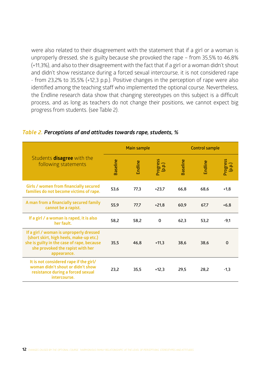were also related to their disagreement with the statement that if a girl or a woman is unproperly dressed, she is guilty because she provoked the rape – from 35,5% to 46,8% (+11,3%), and also to their disagreement with the fact that if a girl or a woman didn't shout and didn't show resistance during a forced sexual intercourse, it is not considered rape - from 23,2% to 35,5% (+12,3 p.p.). Positive changes in the perception of rape were also identified among the teaching staff who implemented the optional course. Nevertheless, the Endline research data show that changing stereotypes on this subject is a difficult process, and as long as teachers do not change their positions, we cannot expect big progress from students. (see Table 2).

|                                                                                                                                                                                     | <b>Main sample</b> |         |                    | <b>Control sample</b> |         |                    |
|-------------------------------------------------------------------------------------------------------------------------------------------------------------------------------------|--------------------|---------|--------------------|-----------------------|---------|--------------------|
| Students <b>disagree</b> with the<br>following statements                                                                                                                           | <b>Baseline</b>    | Endline | Progress<br>(p.p.) | <b>Baseline</b>       | Endline | Progress<br>(p.p.) |
| Girls / women from financially secured<br>families do not become victims of rape.                                                                                                   | 53,6               | 77,3    | $+23.7$            | 66,8                  | 68,6    | $+1,8$             |
| A man from a financially secured family<br>cannot be a rapist.                                                                                                                      | 55,9               | 77,7    | $+21.8$            | 60,9                  | 67,7    | $+6,8$             |
| If a girl / a woman is raped, it is also<br>her fault.                                                                                                                              | 58,2               | 58,2    | 0                  | 62,3                  | 53,2    | -9,1               |
| If a girl / woman is unproperly dressed<br>(short skirt, high heels, make-up etc.)<br>she is guilty in the case of rape, because<br>she provoked the rapist with her<br>appearance. | 35,5               | 46,8    | $+11,3$            | 38,6                  | 38,6    | 0                  |
| It is not considered rape if the girl/<br>woman didn't shout or didn't show<br>resistance during a forced sexual<br>intercourse.                                                    | 23,2               | 35,5    | $+12.3$            | 29.5                  | 28.2    | $-1,3$             |

#### *Table 2. Perceptions of and attitudes towards rape, students, %*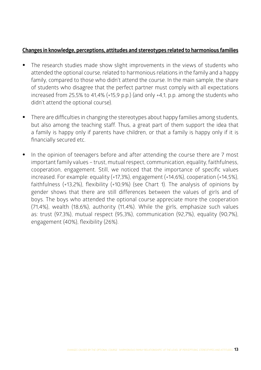#### **Changes in knowledge, perceptions, attitudes and stereotypes related to harmonious families**

- The research studies made show slight improvements in the views of students who attended the optional course, related to harmonious relations in the family and a happy family, compared to those who didn't attend the course. In the main sample, the share of students who disagree that the perfect partner must comply with all expectations increased from 25,5% to 41,4% ( $+15.9$  p.p.) (and only  $+4.1$ , p.p. among the students who didn't attend the optional course).
- There are difficulties in changing the stereotypes about happy families among students, but also among the teaching staff. Thus, a great part of them support the idea that a family is happy only if parents have children, or that a family is happy only if it is financially secured etc.
- In the opinion of teenagers before and after attending the course there are 7 most important family values – trust, mutual respect, communication, equality, faithfulness, cooperation, engagement. Still, we noticed that the importance of specific values increased. For example: equality (+17,3%), engagement (+14,6%), cooperation (+14,5%), faithfulness (+13,2%), flexibility (+10,9%) (see Chart 1). The analysis of opinions by gender shows that there are still differences between the values of girls and of boys. The boys who attended the optional course appreciate more the cooperation (71,4%), wealth (18,6%), authority (11,4%). While the girls, emphasize such values as: trust (97,3%), mutual respect (95,3%), communication (92,7%), equality (90,7%), engagement (40%), flexibility (26%).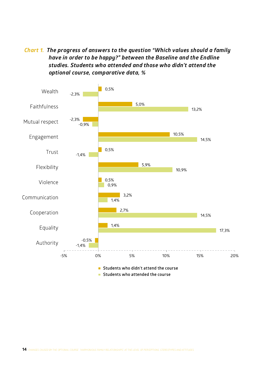*Chart 1. The progress of answers to the question "Which values should a family have in order to be happy?" between the Baseline and the Endline studies. Students who attended and those who didn't attend the optional course, comparative data, %*

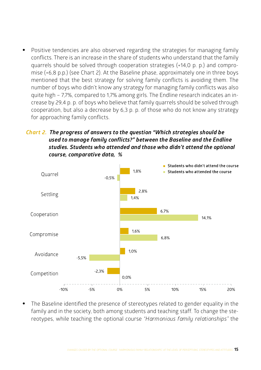• Positive tendencies are also observed regarding the strategies for managing family conflicts. There is an increase in the share of students who understand that the family quarrels should be solved through cooperation strategies (+14,0 p. p.) and compromise (+6,8 p.p.) (see Chart 2). At the Baseline phase, approximately one in three boys mentioned that the best strategy for solving family conflicts is avoiding them. The number of boys who didn't know any strategy for managing family conflicts was also quite high – 7,7%, compared to 1,7% among girls. The Endline research indicates an increase by 29,4 p. p. of boys who believe that family quarrels should be solved through cooperation, but also a decrease by 6,3 p. p. of those who do not know any strategy for approaching family conflicts.

# *Chart 2. The progress of answers to the question "Which strategies should be used to manage family conflicts?" between the Baseline and the Endline studies. Students who attended and those who didn't attend the optional course, comparative data, %*



The Baseline identified the presence of stereotypes related to gender equality in the family and in the society, both among students and teaching staff. To change the stereotypes, while teaching the optional course *"Harmonious family relationships"* the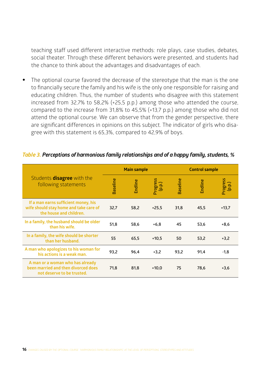teaching staff used different interactive methods: role plays, case studies, debates, social theater. Through these different behaviors were presented, and students had the chance to think about the advantages and disadvantages of each.

• The optional course favored the decrease of the stereotype that the man is the one to financially secure the family and his wife is the only one responsible for raising and educating children. Thus, the number of students who disagree with this statement increased from 32,7% to 58,2% (+25,5 p.p.) among those who attended the course, compared to the increase from 31,8% to 45,5% (+13,7 p.p.) among those who did not attend the optional course. We can observe that from the gender perspective, there are significant differences in opinions on this subject. The indicator of girls who disagree with this statement is 65,3%, compared to 42,9% of boys.

|                                                                                                           |                 | <b>Main sample</b> |                  | <b>Control sample</b> |         |                    |
|-----------------------------------------------------------------------------------------------------------|-----------------|--------------------|------------------|-----------------------|---------|--------------------|
| Students <b>disagree</b> with the<br>following statements                                                 | <b>Baseline</b> | Endline            | Progress<br>(a.q | Baseline              | Endline | Progress<br>(p.p.) |
| If a man earns sufficient money, his<br>wife should stay home and take care of<br>the house and children. | 32,7            | 58,2               | $+25,5$          | 31,8                  | 45,5    | $+13.7$            |
| In a family, the husband should be older<br>than his wife.                                                | 51,8            | 58,6               | $+6,8$           | 45                    | 53,6    | $+8,6$             |
| In a family, the wife should be shorter<br>than her husband.                                              | 55              | 65,5               | $+10.5$          | 50                    | 53,2    | $+3,2$             |
| A man who apologizes to his woman for<br>his actions is a weak man.                                       | 93,2            | 96.4               | $+3,2$           | 93,2                  | 91,4    | $-1,8$             |
| A man or a woman who has already<br>been married and then divorced does<br>not deserve to be trusted.     | 71,8            | 81,8               | $+10.0$          | 75                    | 78.6    | $+3,6$             |

*Table 3. Perceptions of harmonious family relationships and of a happy family, students, %*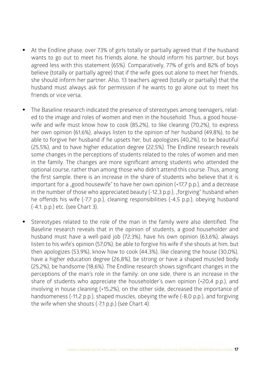- At the Endline phase, over 73% of girls totally or partially agreed that if the husband wants to go out to meet his friends alone, he should inform his partner, but boys agreed less with this statement (65%). Comparatively, 77% of girls and 82% of boys believe (totally or partially agree) that if the wife goes out alone to meet her friends, she should inform her partner. Also, 13 teachers agreed (totally or partially) that the husband must always ask for permission if he wants to go alone out to meet his friends or vice versa.
- The Baseline research indicated the presence of stereotypes among teenagers, related to the image and roles of women and men in the household. Thus, a good housewife and wife must know how to cook (85,2%), to like cleaning (70,2%), to express her own opinion (61,6%), always listen to the opinion of her husband (49,8%), to be able to forgive her husband if he upsets her, but apologizes (40,2%), to be beautiful (25,5%), and to have higher education degree (22,5%). The Endline research reveals some changes in the perceptions of students related to the roles of women and men in the family. The changes are more significant among students who attended the optional course, rather than among those who didn't attend this course. Thus, among the first sample, there is an increase in the share of students who believe that it is important for a "good housewife" to have her own opinion  $(+17,7 \text{ p.p.})$ , and a decrease in the number of those who appreciated beauty  $(-12.3 \text{ p.p.})$ ,  $\Delta$  forgiving" husband when he offends his wife (-7,7 p.p.), cleaning responsibilities (-4,5 p.p.), obeying husband (-4,1, p.p.) etc. (see Chart 3).
- Stereotypes related to the role of the man in the family were also identified. The Baseline research reveals that in the opinion of students, a good householder and husband must have a well-paid job (72,3%), have his own opinion (63,6%), always listen to his wife's opinion (57,0%), be able to forgive his wife if she shouts at him, but then apologizes (53,9%), know how to cook (44,3%), like cleaning the house (30,0%), have a higher education degree (26,8%), be strong or have a shaped muscled body (25,2%), be handsome (18,6%). The Endline research shows significant changes in the perceptions of the man's role in the family: on one side, there is an increase in the share of students who appreciate the householder's own opinion (+20,4 p.p.), and involving in house cleaning (+15,2%), on the other side, decreased the importance of handsomeness (-11,2 p.p.), shaped muscles, obeying the wife (-8,0 p.p.), and forgiving the wife when she shouts (-7,1 p.p.) (see Chart 4).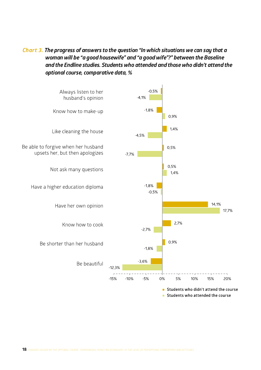# *Chart 3. The progress of answers to the question "In which situations we can say that a woman will be "a good housewife" and "a good wife"?" between the Baseline and the Endline studies. Students who attended and those who didn't attend the optional course, comparative data, %*

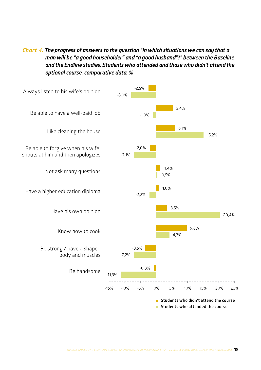*Chart 4. The progress of answers to the question "In which situations we can say that a man will be "a good householder" and "a good husband"?" between the Baseline and the Endline studies. Students who attended and those who didn't attend the optional course, comparative data, %*

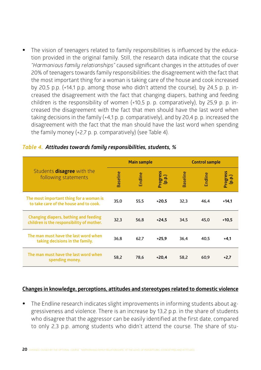The vision of teenagers related to family responsibilities is influenced by the education provided in the original family. Still, the research data indicate that the course *"Harmonious family relationships"* caused significant changes in the attitudes of over 20% of teenagers towards family responsibilities: the disagreement with the fact that the most important thing for a woman is taking care of the house and cook increased by 20,5 p.p. (+14,1 p.p. among those who didn't attend the course), by 24,5 p. p. increased the disagreement with the fact that changing diapers, bathing and feeding children is the responsibility of women (+10,5 p. p. comparatively), by 25,9 p. p. increased the disagreement with the fact that men should have the last word when taking decisions in the family  $(+4,1 \text{ p. p.}$  comparatively), and by 20,4 p. p. increased the disagreement with the fact that the man should have the last word when spending the family money (+2,7 p. p. comparatively) (see Table 4).

|                                                                                    | <b>Main sample</b> |         |                    | <b>Control sample</b> |         |                    |
|------------------------------------------------------------------------------------|--------------------|---------|--------------------|-----------------------|---------|--------------------|
| Students <b>disagree</b> with the<br>following statements                          | <b>Baseline</b>    | Endline | Progress<br>(p.p.) | <b>Baseline</b>       | Endline | Progress<br>(p.p.) |
| The most important thing for a woman is<br>to take care of the house and to cook.  | 35,0               | 55,5    | $+20.5$            | 32,3                  | 46.4    | $+14.1$            |
| Changing diapers, bathing and feeding<br>children is the responsibility of mother. | 32.3               | 56.8    | $+24,5$            | 34,5                  | 45.0    | $+10,5$            |
| The man must have the last word when<br>taking decisions in the family.            | 36.8               | 62.7    | $+25.9$            | 36,4                  | 40.5    | $+4,1$             |
| The man must have the last word when<br>spending money.                            | 58,2               | 78,6    | $+20.4$            | 58,2                  | 60,9    | $+2,7$             |

#### *Table 4. Attitudes towards family responsibilities, students, %*

#### **Changes in knowledge, perceptions, attitudes and stereotypes related to domestic violence**

• The Endline research indicates slight improvements in informing students about aggressiveness and violence. There is an increase by 13,2 p.p. in the share of students who disagree that the aggressor can be easily identified at the first date, compared to only 2,3 p.p. among students who didn't attend the course. The share of stu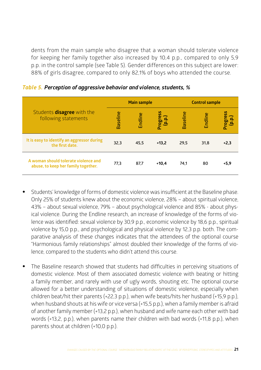dents from the main sample who disagree that a woman should tolerate violence for keeping her family together also increased by 10,4 p.p., compared to only 5,9 p.p. in the control sample (see Table 5). Gender differences on this subject are lower: 88% of girls disagree, compared to only 82,1% of boys who attended the course.

|                                                                             | <b>Main sample</b> |         |                    | <b>Control sample</b> |         |                    |
|-----------------------------------------------------------------------------|--------------------|---------|--------------------|-----------------------|---------|--------------------|
| Students <b>disagree</b> with the<br>following statements                   | <b>Baseline</b>    | Endline | Progress<br>(p.p.) | Baseline              | Endline | Progress<br>(p.p.) |
| It is easy to identify an aggressor during<br>the first date.               | 32,3               | 45.5    | $+13.2$            | 29,5                  | 31,8    | $+2.3$             |
| A woman should tolerate violence and<br>abuse, to keep her family together. | 77,3               | 87,7    | $+10.4$            | 74,1                  | 80      | $+5,9$             |

*Table 5. Perception of aggressive behavior and violence, students, %*

- Students' knowledge of forms of domestic violence was insufficient at the Baseline phase. Only 25% of students knew about the economic violence, 28% – about spiritual violence, 43% – about sexual violence, 79% – about psychological violence and 85% - about physical violence. During the Endline research, an increase of knowledge of the forms of violence was identified: sexual violence by 30,9 p.p., economic violence by 18,6 p.p., spiritual violence by 15,0 p.p., and psychological and physical violence by 12,3 p.p. both. The comparative analysis of these changes indicates that the attendees of the optional course "Harmonious family relationships" almost doubled their knowledge of the forms of violence, compared to the students who didn't attend this course.
- The Baseline research showed that students had difficulties in perceiving situations of domestic violence. Most of them associated domestic violence with beating or hitting a family member, and rarely with use of ugly words, shouting etc. The optional course allowed for a better understanding of situations of domestic violence, especially when children beat/hit their parents (+22,3 p.p.), when wife beats/hits her husband (+15,9 p.p.), when husband shouts at his wife or vice versa (+15,5 p.p.), when a family member is afraid of another family member (+13,2 p.p.), when husband and wife name each other with bad words (+13,2, p.p.), when parents name their children with bad words (+11,8 p.p.), when parents shout at children (+10,0 p.p.).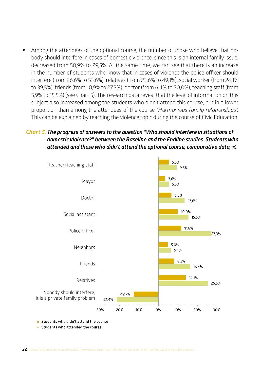• Among the attendees of the optional course, the number of those who believe that nobody should interfere in cases of domestic violence, since this is an internal family issue, decreased from 50,9% to 29,5%. At the same time, we can see that there is an increase in the number of students who know that in cases of violence the police officer should interfere (from 26,6% to 53,6%), relatives (from 23,6% to 49,1%), social worker (from 24,1% to 39,5%), friends (from 10,9% to 27,3%), doctor (from 6,4% to 20,0%), teaching staff (from 5,9% to 15,5%) (see Chart 5). The research data reveal that the level of information on this subject also increased among the students who didn't attend this course, but in a lower proportion than among the attendees of the course *"Harmonious family relationships".*  This can be explained by teaching the violence topic during the course of Civic Education.

### *Chart 5. The progress of answers to the question "Who should interfere in situations of domestic violence?" between the Baseline and the Endline studies. Students who attended and those who didn't attend the optional course, comparative data, %*



Students who didn't attend the course

Students who attended the course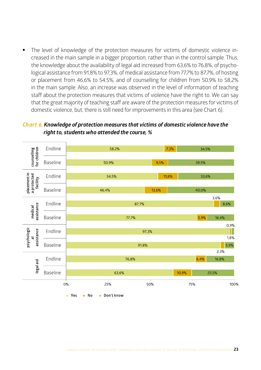The level of knowledge of the protection measures for victims of domestic violence increased in the main sample in a bigger proportion, rather than in the control sample. Thus, the knowledge about the availability of legal aid increased from 63,6% to 76,8%, of psychological assistance from 91,8% to 97,3%, of medical assistance from 77,7% to 87,7%, of hosting or placement from 46,6% to 54,5%, and of counselling for children from 50,9% to 58,2% in the main sample. Also, an increase was observed in the level of information of teaching staff about the protection measures that victims of violence have the right to. We can say that the great majority of teaching staff are aware of the protection measures for victims of domestic violence, but, there is still need for improvements in this area (see Chart 6).

#### *Chart 6. Knowledge of protection measures that victims of domestic violence have the right to, students who attended the course, %*

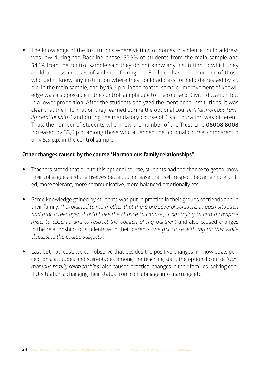• The knowledge of the institutions where victims of domestic violence could address was low during the Baseline phase. 52,3% of students from the main sample and 54,1% from the control sample said they do not know any institution to which they could address in cases of violence. During the Endline phase, the number of those who didn't know any institution where they could address for help decreased by 25 p.p. in the main sample, and by 19,6 p.p. in the control sample. Improvement of knowledge was also possible in the control sample due to the course of Civic Education, but in a lower proportion. After the students analyzed the mentioned institutions, it was clear that the information they learned during the optional course *"Harmonious family relationships"* and during the mandatory course of Civic Education was different. Thus, the number of students who knew the number of the Trust Line **08008 8008** increased by 33,6 p.p. among those who attended the optional course, compared to only 5,5 p.p. in the control sample.

# **Other changes caused by the course "Harmonious family relationships"**

- Teachers stated that due to this optional course, students had the chance to get to know their colleagues and themselves better, to increase their self-respect, became more united, more tolerant, more communicative, more balanced emotionally etc.
- Some knowledge gained by students was put in practice in their groups of friends and in their family: *"I explained to my mother that there are several solutions in each situation and that a teenager should have the chance to choose", "I am trying to find a compromise, to observe and to respect the opinion of my partner",* and also caused changes in the relationships of students with their parents *"we got close with my mother while discussing the course subjects".*
- Last but not least, we can observe that besides the positive changes in knowledge, perceptions, attitudes and stereotypes among the teaching staff, the optional course *"Harmonious family relationships"* also caused practical changes in their families: solving conflict situations, changing their status from concubinage into marriage etc.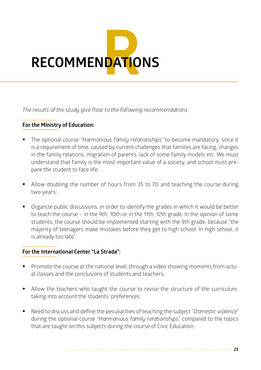![](_page_24_Picture_0.jpeg)

*The results of the study give floor to the following recommendations*:

### **For the Ministry of Education:**

- The optional course *"Harmonious family relationships"* to become mandatory, since it is a requirement of time, caused by current challenges that families are facing, changes in the family relations, migration of parents, lack of some family models etc. We must understand that family is the most important value of a society, and school must prepare the student to face life;
- Allow doubling the number of hours from 35 to 70 and teaching the course during two years;
- Organize public discussions, in order to identify the grades in which it would be better to teach the course – in the 9th, 10th or in the 11th, 12th grade. In the opinion of some students, the course should be implemented starting with the 9th grade, because "the majority of teenagers make mistakes before they get to high school. In high school, it is already too late".

### **For the International Center "La Strada":**

- Promote the course at the national level, through a video showing moments from actual classes and the conclusions of students and teachers;
- Allow the teachers who taught the course to revise the structure of the curriculum, taking into account the students' preferences;
- Need to discuss and define the peculiarities of teaching the subject *"Domestic violence"*  during the optional course *"Harmonious family relationships",* compared to the topics that are taught on this subjects during the course of Civic Education;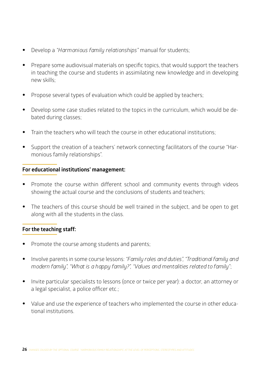- Develop a *"Harmonious family relationships"* manual for students;
- Prepare some audiovisual materials on specific topics, that would support the teachers in teaching the course and students in assimilating new knowledge and in developing new skills;
- Propose several types of evaluation which could be applied by teachers;
- Develop some case studies related to the topics in the curriculum, which would be debated during classes;
- Train the teachers who will teach the course in other educational institutions;
- Support the creation of a teachers' network connecting facilitators of the course "Harmonious family relationships".

### **For educational institutions' management:**

- Promote the course within different school and community events through videos showing the actual course and the conclusions of students and teachers;
- The teachers of this course should be well trained in the subject, and be open to get along with all the students in the class.

#### **For the teaching staff:**

- Promote the course among students and parents;
- Involve parents in some course lessons: *"Family roles and duties", "Traditional family and modern family", "What is a happy family?", "Values and mentalities related to family"*;
- Invite particular specialists to lessons (once or twice per year): a doctor, an attorney or a legal specialist, a police officer etc.;
- Value and use the experience of teachers who implemented the course in other educational institutions.